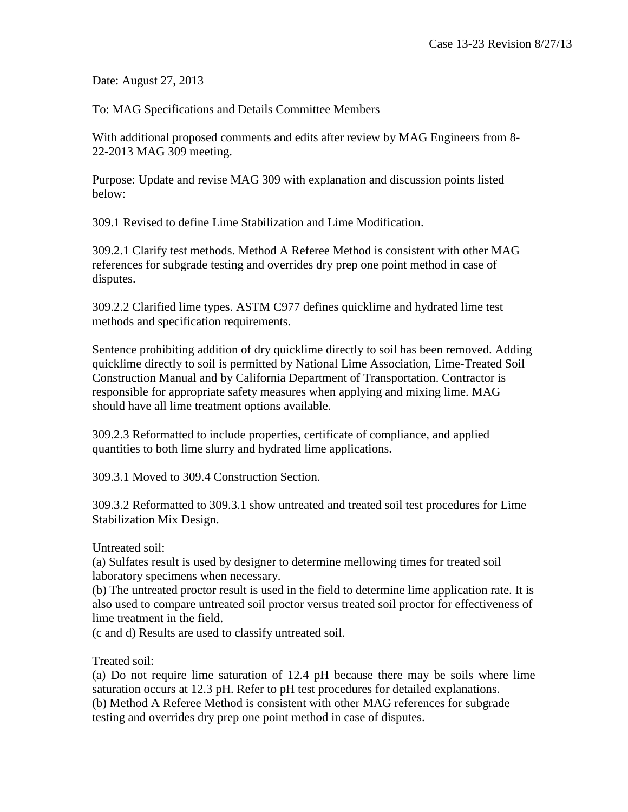Date: August 27, 2013

To: MAG Specifications and Details Committee Members

With additional proposed comments and edits after review by MAG Engineers from 8- 22-2013 MAG 309 meeting.

Purpose: Update and revise MAG 309 with explanation and discussion points listed below:

309.1 Revised to define Lime Stabilization and Lime Modification.

309.2.1 Clarify test methods. Method A Referee Method is consistent with other MAG references for subgrade testing and overrides dry prep one point method in case of disputes.

309.2.2 Clarified lime types. ASTM C977 defines quicklime and hydrated lime test methods and specification requirements.

Sentence prohibiting addition of dry quicklime directly to soil has been removed. Adding quicklime directly to soil is permitted by National Lime Association, Lime-Treated Soil Construction Manual and by California Department of Transportation. Contractor is responsible for appropriate safety measures when applying and mixing lime. MAG should have all lime treatment options available.

309.2.3 Reformatted to include properties, certificate of compliance, and applied quantities to both lime slurry and hydrated lime applications.

309.3.1 Moved to 309.4 Construction Section.

309.3.2 Reformatted to 309.3.1 show untreated and treated soil test procedures for Lime Stabilization Mix Design.

Untreated soil:

(a) Sulfates result is used by designer to determine mellowing times for treated soil laboratory specimens when necessary.

(b) The untreated proctor result is used in the field to determine lime application rate. It is also used to compare untreated soil proctor versus treated soil proctor for effectiveness of lime treatment in the field.

(c and d) Results are used to classify untreated soil.

Treated soil:

(a) Do not require lime saturation of 12.4 pH because there may be soils where lime saturation occurs at 12.3 pH. Refer to pH test procedures for detailed explanations. (b) Method A Referee Method is consistent with other MAG references for subgrade testing and overrides dry prep one point method in case of disputes.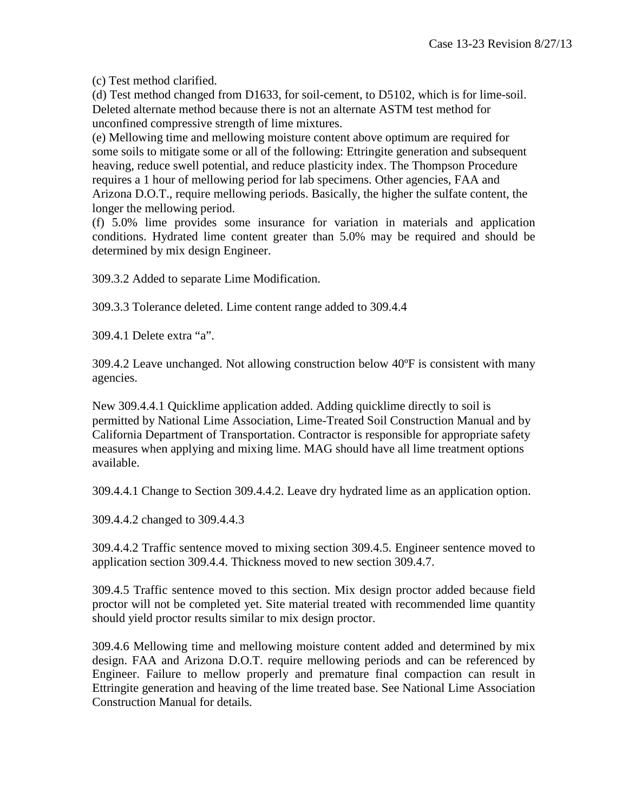(c) Test method clarified.

(d) Test method changed from D1633, for soil-cement, to D5102, which is for lime-soil. Deleted alternate method because there is not an alternate ASTM test method for unconfined compressive strength of lime mixtures.

(e) Mellowing time and mellowing moisture content above optimum are required for some soils to mitigate some or all of the following: Ettringite generation and subsequent heaving, reduce swell potential, and reduce plasticity index. The Thompson Procedure requires a 1 hour of mellowing period for lab specimens. Other agencies, FAA and Arizona D.O.T., require mellowing periods. Basically, the higher the sulfate content, the longer the mellowing period.

(f) 5.0% lime provides some insurance for variation in materials and application conditions. Hydrated lime content greater than 5.0% may be required and should be determined by mix design Engineer.

309.3.2 Added to separate Lime Modification.

309.3.3 Tolerance deleted. Lime content range added to 309.4.4

309.4.1 Delete extra "a".

309.4.2 Leave unchanged. Not allowing construction below 40ºF is consistent with many agencies.

New 309.4.4.1 Quicklime application added. Adding quicklime directly to soil is permitted by National Lime Association, Lime-Treated Soil Construction Manual and by California Department of Transportation. Contractor is responsible for appropriate safety measures when applying and mixing lime. MAG should have all lime treatment options available.

309.4.4.1 Change to Section 309.4.4.2. Leave dry hydrated lime as an application option.

309.4.4.2 changed to 309.4.4.3

309.4.4.2 Traffic sentence moved to mixing section 309.4.5. Engineer sentence moved to application section 309.4.4. Thickness moved to new section 309.4.7.

309.4.5 Traffic sentence moved to this section. Mix design proctor added because field proctor will not be completed yet. Site material treated with recommended lime quantity should yield proctor results similar to mix design proctor.

309.4.6 Mellowing time and mellowing moisture content added and determined by mix design. FAA and Arizona D.O.T. require mellowing periods and can be referenced by Engineer. Failure to mellow properly and premature final compaction can result in Ettringite generation and heaving of the lime treated base. See National Lime Association Construction Manual for details.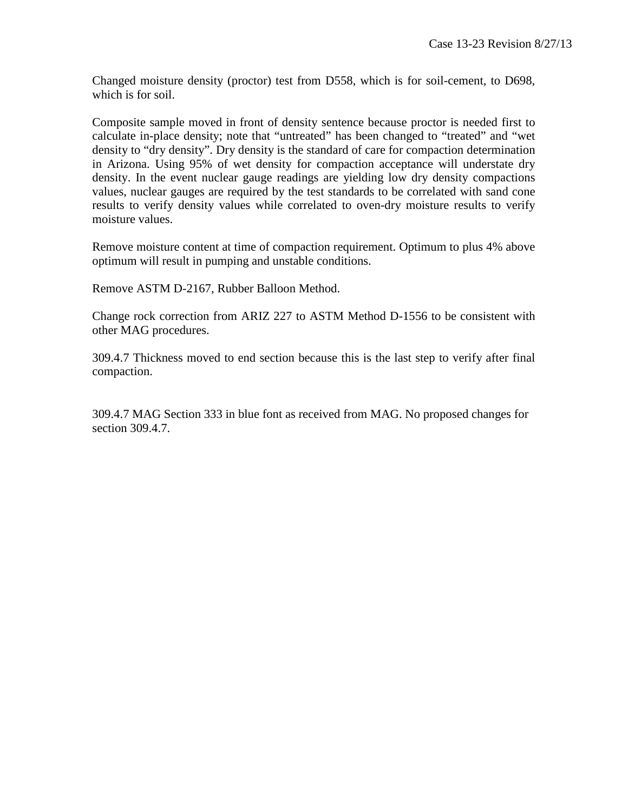Changed moisture density (proctor) test from D558, which is for soil-cement, to D698, which is for soil.

Composite sample moved in front of density sentence because proctor is needed first to calculate in-place density; note that "untreated" has been changed to "treated" and "wet density to "dry density". Dry density is the standard of care for compaction determination in Arizona. Using 95% of wet density for compaction acceptance will understate dry density. In the event nuclear gauge readings are yielding low dry density compactions values, nuclear gauges are required by the test standards to be correlated with sand cone results to verify density values while correlated to oven-dry moisture results to verify moisture values.

Remove moisture content at time of compaction requirement. Optimum to plus 4% above optimum will result in pumping and unstable conditions.

Remove ASTM D-2167, Rubber Balloon Method.

Change rock correction from ARIZ 227 to ASTM Method D-1556 to be consistent with other MAG procedures.

309.4.7 Thickness moved to end section because this is the last step to verify after final compaction.

309.4.7 MAG Section 333 in blue font as received from MAG. No proposed changes for section 309.4.7.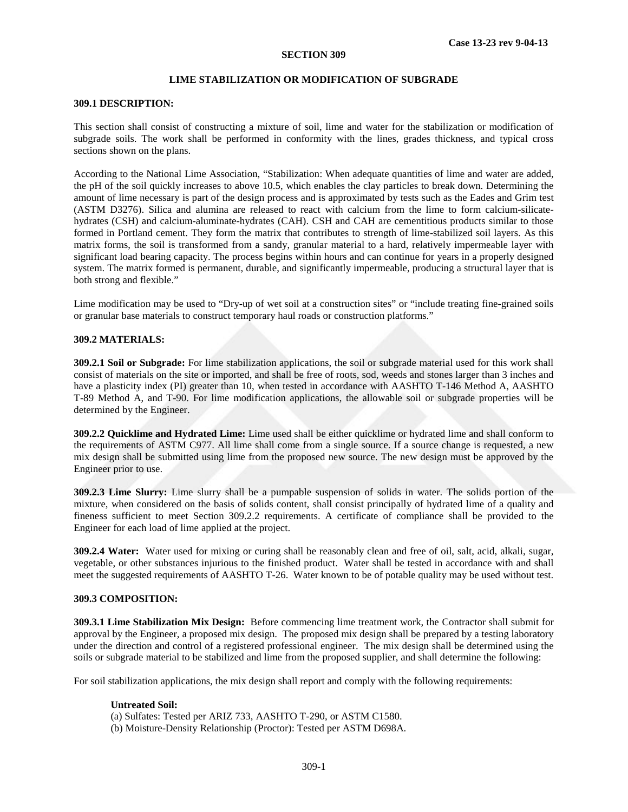### **LIME STABILIZATION OR MODIFICATION OF SUBGRADE**

### **309.1 DESCRIPTION:**

This section shall consist of constructing a mixture of soil, lime and water for the stabilization or modification of subgrade soils. The work shall be performed in conformity with the lines, grades thickness, and typical cross sections shown on the plans.

According to the National Lime Association, "Stabilization: When adequate quantities of lime and water are added, the pH of the soil quickly increases to above 10.5, which enables the clay particles to break down. Determining the amount of lime necessary is part of the design process and is approximated by tests such as the Eades and Grim test (ASTM D3276). Silica and alumina are released to react with calcium from the lime to form calcium-silicatehydrates (CSH) and calcium-aluminate-hydrates (CAH). CSH and CAH are cementitious products similar to those formed in Portland cement. They form the matrix that contributes to strength of lime-stabilized soil layers. As this matrix forms, the soil is transformed from a sandy, granular material to a hard, relatively impermeable layer with significant load bearing capacity. The process begins within hours and can continue for years in a properly designed system. The matrix formed is permanent, durable, and significantly impermeable, producing a structural layer that is both strong and flexible."

Lime modification may be used to "Dry-up of wet soil at a construction sites" or "include treating fine-grained soils or granular base materials to construct temporary haul roads or construction platforms."

## **309.2 MATERIALS:**

**309.2.1 Soil or Subgrade:** For lime stabilization applications, the soil or subgrade material used for this work shall consist of materials on the site or imported, and shall be free of roots, sod, weeds and stones larger than 3 inches and have a plasticity index (PI) greater than 10, when tested in accordance with AASHTO T-146 Method A, AASHTO T-89 Method A, and T-90. For lime modification applications, the allowable soil or subgrade properties will be determined by the Engineer.

**309.2.2 Quicklime and Hydrated Lime:** Lime used shall be either quicklime or hydrated lime and shall conform to the requirements of ASTM C977. All lime shall come from a single source. If a source change is requested, a new mix design shall be submitted using lime from the proposed new source. The new design must be approved by the Engineer prior to use.

**309.2.3 Lime Slurry:** Lime slurry shall be a pumpable suspension of solids in water. The solids portion of the mixture, when considered on the basis of solids content, shall consist principally of hydrated lime of a quality and fineness sufficient to meet Section 309.2.2 requirements. A certificate of compliance shall be provided to the Engineer for each load of lime applied at the project.

**309.2.4 Water:** Water used for mixing or curing shall be reasonably clean and free of oil, salt, acid, alkali, sugar, vegetable, or other substances injurious to the finished product. Water shall be tested in accordance with and shall meet the suggested requirements of AASHTO T-26. Water known to be of potable quality may be used without test.

## **309.3 COMPOSITION:**

**309.3.1 Lime Stabilization Mix Design:** Before commencing lime treatment work, the Contractor shall submit for approval by the Engineer, a proposed mix design. The proposed mix design shall be prepared by a testing laboratory under the direction and control of a registered professional engineer. The mix design shall be determined using the soils or subgrade material to be stabilized and lime from the proposed supplier, and shall determine the following:

For soil stabilization applications, the mix design shall report and comply with the following requirements:

### **Untreated Soil:**

- (a) Sulfates: Tested per ARIZ 733, AASHTO T-290, or ASTM C1580.
- (b) Moisture-Density Relationship (Proctor): Tested per ASTM D698A.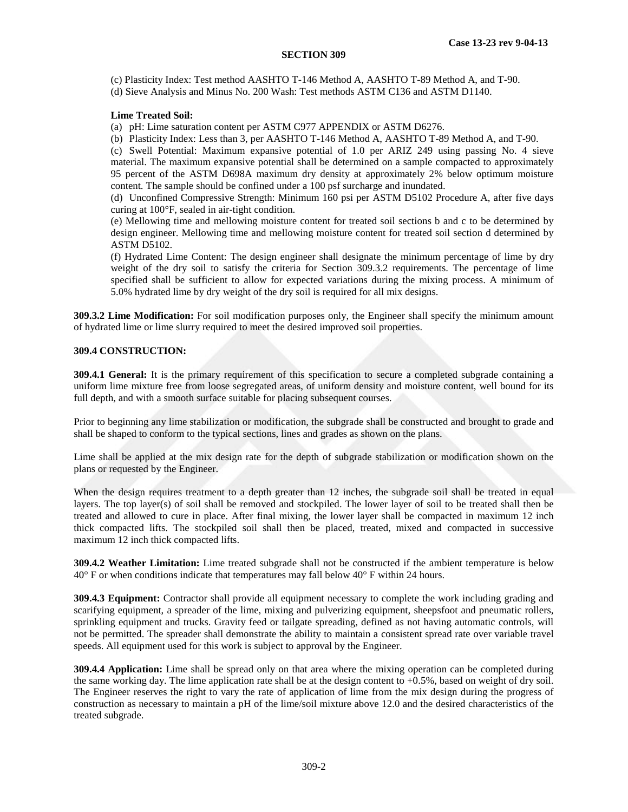(c) Plasticity Index: Test method AASHTO T-146 Method A, AASHTO T-89 Method A, and T-90. (d) Sieve Analysis and Minus No. 200 Wash: Test methods ASTM C136 and ASTM D1140.

# **Lime Treated Soil:**

(a) pH: Lime saturation content per ASTM C977 APPENDIX or ASTM D6276.

(b) Plasticity Index: Less than 3, per AASHTO T-146 Method A, AASHTO T-89 Method A, and T-90.

(c) Swell Potential: Maximum expansive potential of 1.0 per ARIZ 249 using passing No. 4 sieve material. The maximum expansive potential shall be determined on a sample compacted to approximately 95 percent of the ASTM D698A maximum dry density at approximately 2% below optimum moisture content. The sample should be confined under a 100 psf surcharge and inundated.

(d) Unconfined Compressive Strength: Minimum 160 psi per ASTM D5102 Procedure A, after five days curing at 100°F, sealed in air-tight condition.

(e) Mellowing time and mellowing moisture content for treated soil sections b and c to be determined by design engineer. Mellowing time and mellowing moisture content for treated soil section d determined by ASTM D5102.

(f) Hydrated Lime Content: The design engineer shall designate the minimum percentage of lime by dry weight of the dry soil to satisfy the criteria for Section 309.3.2 requirements. The percentage of lime specified shall be sufficient to allow for expected variations during the mixing process. A minimum of 5.0% hydrated lime by dry weight of the dry soil is required for all mix designs.

**309.3.2 Lime Modification:** For soil modification purposes only, the Engineer shall specify the minimum amount of hydrated lime or lime slurry required to meet the desired improved soil properties.

# **309.4 CONSTRUCTION:**

**309.4.1 General:** It is the primary requirement of this specification to secure a completed subgrade containing a uniform lime mixture free from loose segregated areas, of uniform density and moisture content, well bound for its full depth, and with a smooth surface suitable for placing subsequent courses.

Prior to beginning any lime stabilization or modification, the subgrade shall be constructed and brought to grade and shall be shaped to conform to the typical sections, lines and grades as shown on the plans.

Lime shall be applied at the mix design rate for the depth of subgrade stabilization or modification shown on the plans or requested by the Engineer.

When the design requires treatment to a depth greater than 12 inches, the subgrade soil shall be treated in equal layers. The top layer(s) of soil shall be removed and stockpiled. The lower layer of soil to be treated shall then be treated and allowed to cure in place. After final mixing, the lower layer shall be compacted in maximum 12 inch thick compacted lifts. The stockpiled soil shall then be placed, treated, mixed and compacted in successive maximum 12 inch thick compacted lifts.

**309.4.2 Weather Limitation:** Lime treated subgrade shall not be constructed if the ambient temperature is below 40° F or when conditions indicate that temperatures may fall below 40° F within 24 hours.

**309.4.3 Equipment:** Contractor shall provide all equipment necessary to complete the work including grading and scarifying equipment, a spreader of the lime, mixing and pulverizing equipment, sheepsfoot and pneumatic rollers, sprinkling equipment and trucks. Gravity feed or tailgate spreading, defined as not having automatic controls, will not be permitted. The spreader shall demonstrate the ability to maintain a consistent spread rate over variable travel speeds. All equipment used for this work is subject to approval by the Engineer.

**309.4.4 Application:** Lime shall be spread only on that area where the mixing operation can be completed during the same working day. The lime application rate shall be at the design content to  $+0.5\%$ , based on weight of dry soil. The Engineer reserves the right to vary the rate of application of lime from the mix design during the progress of construction as necessary to maintain a pH of the lime/soil mixture above 12.0 and the desired characteristics of the treated subgrade.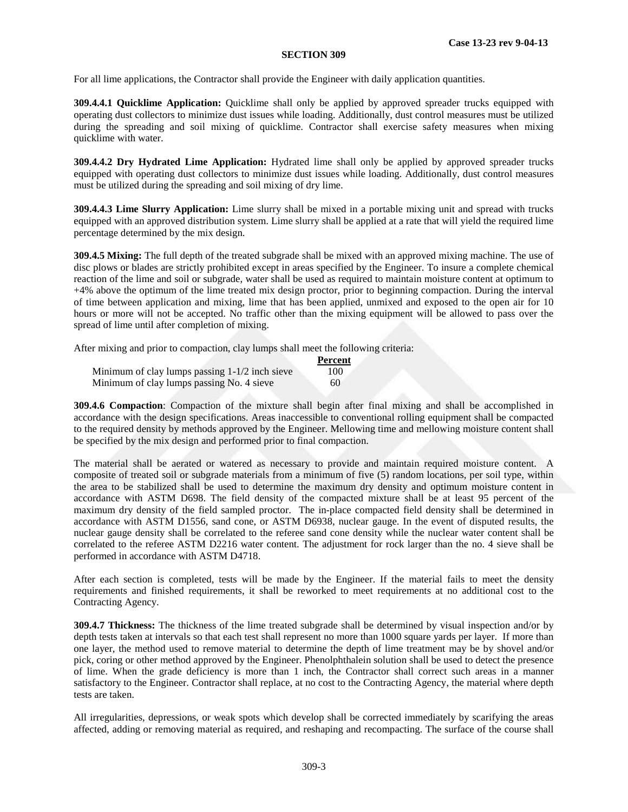For all lime applications, the Contractor shall provide the Engineer with daily application quantities.

**309.4.4.1 Quicklime Application:** Quicklime shall only be applied by approved spreader trucks equipped with operating dust collectors to minimize dust issues while loading. Additionally, dust control measures must be utilized during the spreading and soil mixing of quicklime. Contractor shall exercise safety measures when mixing quicklime with water.

**309.4.4.2 Dry Hydrated Lime Application:** Hydrated lime shall only be applied by approved spreader trucks equipped with operating dust collectors to minimize dust issues while loading. Additionally, dust control measures must be utilized during the spreading and soil mixing of dry lime.

**309.4.4.3 Lime Slurry Application:** Lime slurry shall be mixed in a portable mixing unit and spread with trucks equipped with an approved distribution system. Lime slurry shall be applied at a rate that will yield the required lime percentage determined by the mix design.

**309.4.5 Mixing:** The full depth of the treated subgrade shall be mixed with an approved mixing machine. The use of disc plows or blades are strictly prohibited except in areas specified by the Engineer. To insure a complete chemical reaction of the lime and soil or subgrade, water shall be used as required to maintain moisture content at optimum to +4% above the optimum of the lime treated mix design proctor, prior to beginning compaction. During the interval of time between application and mixing, lime that has been applied, unmixed and exposed to the open air for 10 hours or more will not be accepted. No traffic other than the mixing equipment will be allowed to pass over the spread of lime until after completion of mixing.

After mixing and prior to compaction, clay lumps shall meet the following criteria:

|                                                  | Percent |
|--------------------------------------------------|---------|
| Minimum of clay lumps passing $1-1/2$ inch sieve | 100     |
| Minimum of clay lumps passing No. 4 sieve        | 60      |

**309.4.6 Compaction**: Compaction of the mixture shall begin after final mixing and shall be accomplished in accordance with the design specifications. Areas inaccessible to conventional rolling equipment shall be compacted to the required density by methods approved by the Engineer. Mellowing time and mellowing moisture content shall be specified by the mix design and performed prior to final compaction.

The material shall be aerated or watered as necessary to provide and maintain required moisture content. A composite of treated soil or subgrade materials from a minimum of five (5) random locations, per soil type, within the area to be stabilized shall be used to determine the maximum dry density and optimum moisture content in accordance with ASTM D698. The field density of the compacted mixture shall be at least 95 percent of the maximum dry density of the field sampled proctor. The in-place compacted field density shall be determined in accordance with ASTM D1556, sand cone, or ASTM D6938, nuclear gauge. In the event of disputed results, the nuclear gauge density shall be correlated to the referee sand cone density while the nuclear water content shall be correlated to the referee ASTM D2216 water content. The adjustment for rock larger than the no. 4 sieve shall be performed in accordance with ASTM D4718.

After each section is completed, tests will be made by the Engineer. If the material fails to meet the density requirements and finished requirements, it shall be reworked to meet requirements at no additional cost to the Contracting Agency.

**309.4.7 Thickness:** The thickness of the lime treated subgrade shall be determined by visual inspection and/or by depth tests taken at intervals so that each test shall represent no more than 1000 square yards per layer. If more than one layer, the method used to remove material to determine the depth of lime treatment may be by shovel and/or pick, coring or other method approved by the Engineer. Phenolphthalein solution shall be used to detect the presence of lime. When the grade deficiency is more than 1 inch, the Contractor shall correct such areas in a manner satisfactory to the Engineer. Contractor shall replace, at no cost to the Contracting Agency, the material where depth tests are taken.

All irregularities, depressions, or weak spots which develop shall be corrected immediately by scarifying the areas affected, adding or removing material as required, and reshaping and recompacting. The surface of the course shall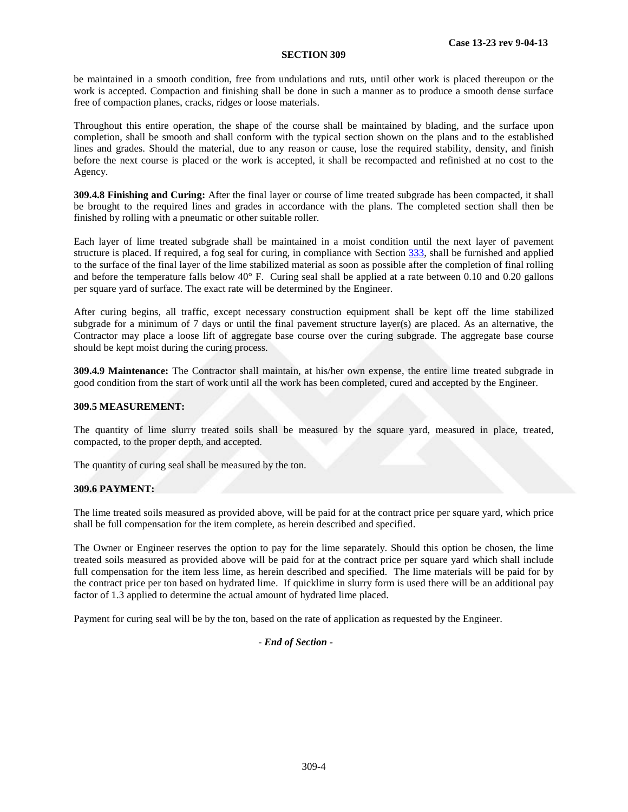be maintained in a smooth condition, free from undulations and ruts, until other work is placed thereupon or the work is accepted. Compaction and finishing shall be done in such a manner as to produce a smooth dense surface free of compaction planes, cracks, ridges or loose materials.

Throughout this entire operation, the shape of the course shall be maintained by blading, and the surface upon completion, shall be smooth and shall conform with the typical section shown on the plans and to the established lines and grades. Should the material, due to any reason or cause, lose the required stability, density, and finish before the next course is placed or the work is accepted, it shall be recompacted and refinished at no cost to the Agency.

**309.4.8 Finishing and Curing:** After the final layer or course of lime treated subgrade has been compacted, it shall be brought to the required lines and grades in accordance with the plans. The completed section shall then be finished by rolling with a pneumatic or other suitable roller.

Each layer of lime treated subgrade shall be maintained in a moist condition until the next layer of pavement structure is placed. If required, a fog seal for curing, in compliance with Section 333, shall be furnished and applied to the surface of the final layer of the lime stabilized material as soon as possible after the completion of final rolling and before the temperature falls below 40° F. Curing seal shall be applied at a rate between 0.10 and 0.20 gallons per square yard of surface. The exact rate will be determined by the Engineer.

After curing begins, all traffic, except necessary construction equipment shall be kept off the lime stabilized subgrade for a minimum of 7 days or until the final pavement structure layer(s) are placed. As an alternative, the Contractor may place a loose lift of aggregate base course over the curing subgrade. The aggregate base course should be kept moist during the curing process.

**309.4.9 Maintenance:** The Contractor shall maintain, at his/her own expense, the entire lime treated subgrade in good condition from the start of work until all the work has been completed, cured and accepted by the Engineer.

## **309.5 MEASUREMENT:**

The quantity of lime slurry treated soils shall be measured by the square yard, measured in place, treated, compacted, to the proper depth, and accepted.

The quantity of curing seal shall be measured by the ton.

### **309.6 PAYMENT:**

The lime treated soils measured as provided above, will be paid for at the contract price per square yard, which price shall be full compensation for the item complete, as herein described and specified.

The Owner or Engineer reserves the option to pay for the lime separately. Should this option be chosen, the lime treated soils measured as provided above will be paid for at the contract price per square yard which shall include full compensation for the item less lime, as herein described and specified. The lime materials will be paid for by the contract price per ton based on hydrated lime. If quicklime in slurry form is used there will be an additional pay factor of 1.3 applied to determine the actual amount of hydrated lime placed.

Payment for curing seal will be by the ton, based on the rate of application as requested by the Engineer.

*- End of Section -*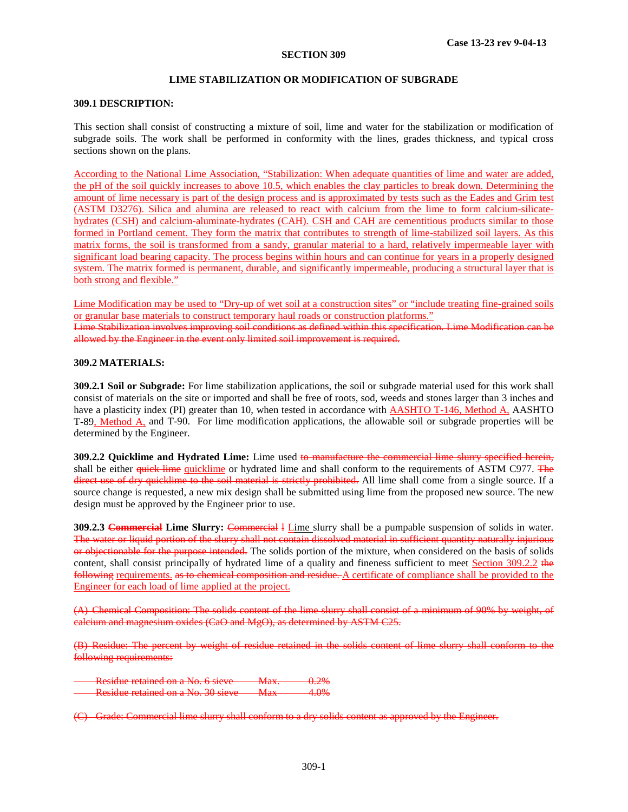### **LIME STABILIZATION OR MODIFICATION OF SUBGRADE**

## **309.1 DESCRIPTION:**

This section shall consist of constructing a mixture of soil, lime and water for the stabilization or modification of subgrade soils. The work shall be performed in conformity with the lines, grades thickness, and typical cross sections shown on the plans.

According to the National Lime Association, "Stabilization: When adequate quantities of lime and water are added, the pH of the soil quickly increases to above 10.5, which enables the clay particles to break down. Determining the amount of lime necessary is part of the design process and is approximated by tests such as the Eades and Grim test (ASTM D3276). Silica and alumina are released to react with calcium from the lime to form calcium-silicatehydrates (CSH) and calcium-aluminate-hydrates (CAH). CSH and CAH are cementitious products similar to those formed in Portland cement. They form the matrix that contributes to strength of lime-stabilized soil layers. As this matrix forms, the soil is transformed from a sandy, granular material to a hard, relatively impermeable layer with significant load bearing capacity. The process begins within hours and can continue for years in a properly designed system. The matrix formed is permanent, durable, and significantly impermeable, producing a structural layer that is both strong and flexible."

Lime Modification may be used to "Dry-up of wet soil at a construction sites" or "include treating fine-grained soils or granular base materials to construct temporary haul roads or construction platforms."

Lime Stabilization involves improving soil conditions as defined within this specification. Lime Modification can be allowed by the Engineer in the event only limited soil improvement is required.

# **309.2 MATERIALS:**

**309.2.1 Soil or Subgrade:** For lime stabilization applications, the soil or subgrade material used for this work shall consist of materials on the site or imported and shall be free of roots, sod, weeds and stones larger than 3 inches and have a plasticity index (PI) greater than 10, when tested in accordance with  $\overline{AASHTO}$  T-146, Method  $\overline{A}$ , AASHTO T-89, Method A, and T-90. For lime modification applications, the allowable soil or subgrade properties will be determined by the Engineer.

**309.2.2 Quicklime and Hydrated Lime:** Lime used to manufacture the commercial lime slurry specified herein, shall be either quick lime quicklime or hydrated lime and shall conform to the requirements of ASTM C977. The direct use of dry quicklime to the soil material is strictly prohibited. All lime shall come from a single source. If a source change is requested, a new mix design shall be submitted using lime from the proposed new source. The new design must be approved by the Engineer prior to use.

**309.2.3 Commercial Lime Slurry: Commercial I** Lime slurry shall be a pumpable suspension of solids in water. The water or liquid portion of the slurry shall not contain dissolved material in sufficient quantity naturally injurious or objectionable for the purpose intended. The solids portion of the mixture, when considered on the basis of solids content, shall consist principally of hydrated lime of a quality and fineness sufficient to meet Section 309.2.2 the following requirements. as to chemical composition and residue. A certificate of compliance shall be provided to the Engineer for each load of lime applied at the project.

(A) Chemical Composition: The solids content of the lime slurry shall consist of a minimum of 90% by weight, of calcium and magnesium oxides (CaO and MgO), as determined by ASTM C25.

(B) Residue: The percent by weight of residue retained in the solids content of lime slurry shall conform to the following requirements:

Residue retained on a No. 6 sieve Max.  $0.2\%$ Residue retained on a No. 30 sieve Max 4.0%

(C) Grade: Commercial lime slurry shall conform to a dry solids content as approved by the Engineer.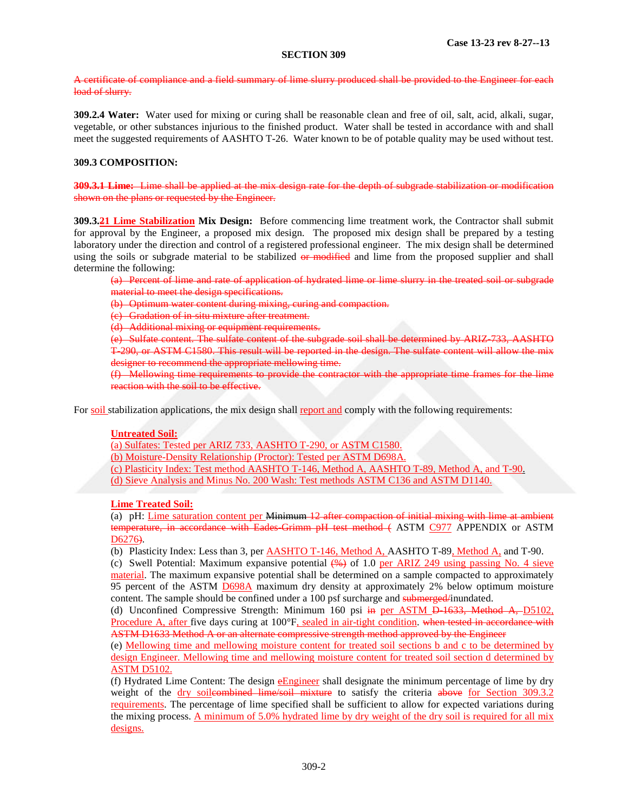A certificate of compliance and a field summary of lime slurry produced shall be provided to the Engineer for each load of slurry.

**309.2.4 Water:** Water used for mixing or curing shall be reasonable clean and free of oil, salt, acid, alkali, sugar, vegetable, or other substances injurious to the finished product. Water shall be tested in accordance with and shall meet the suggested requirements of AASHTO T-26. Water known to be of potable quality may be used without test.

# **309.3 COMPOSITION:**

**309.3.1 Lime:** Lime shall be applied at the mix design rate for the depth of subgrade stabilization or modification shown on the plans or requested by the Engineer.

**309.3.21 Lime Stabilization Mix Design:** Before commencing lime treatment work, the Contractor shall submit for approval by the Engineer, a proposed mix design. The proposed mix design shall be prepared by a testing laboratory under the direction and control of a registered professional engineer. The mix design shall be determined using the soils or subgrade material to be stabilized or modified and lime from the proposed supplier and shall determine the following:

(a) Percent of lime and rate of application of hydrated lime or lime slurry in the treated soil or subgrade material to meet the design specifications.

(b) Optimum water content during mixing, curing and compaction.

(c) Gradation of in-situ mixture after treatment.

(d) Additional mixing or equipment requirements.

(e) Sulfate content. The sulfate content of the subgrade soil shall be determined by ARIZ-733, AASHTO T-290, or ASTM C1580. This result will be reported in the design. The sulfate content will allow the mix designer to recommend the appropriate mellowing time.

(f) Mellowing time requirements to provide the contractor with the appropriate time frames for the lime reaction with the soil to be effective.

For soil stabilization applications, the mix design shall report and comply with the following requirements:

### **Untreated Soil:**

(a) Sulfates: Tested per ARIZ 733, AASHTO T-290, or ASTM C1580.

(b) Moisture-Density Relationship (Proctor): Tested per ASTM D698A.

(c) Plasticity Index: Test method AASHTO T-146, Method A, AASHTO T-89, Method A, and T-90. (d) Sieve Analysis and Minus No. 200 Wash: Test methods ASTM C136 and ASTM D1140.

### **Lime Treated Soil:**

(a) pH: Lime saturation content per Minimum 12 after compaction of initial mixing with lime at ambient temperature, in accordance with Eades Grimm pH test method (ASTM C977 APPENDIX or ASTM D<sub>6276</sub>).

(b) Plasticity Index: Less than 3, per  $\overline{AASHTO T-146}$ , Method A, AASHTO T-89, Method  $\overline{A}$ , and T-90.

(c) Swell Potential: Maximum expansive potential  $(\frac{4}{9}$  of 1.0 per ARIZ 249 using passing No. 4 sieve material. The maximum expansive potential shall be determined on a sample compacted to approximately 95 percent of the ASTM D698A maximum dry density at approximately 2% below optimum moisture content. The sample should be confined under a 100 psf surcharge and submerged/inundated.

(d) Unconfined Compressive Strength: Minimum 160 psi in per ASTM D-1633, Method A, D5102, Procedure A, after five days curing at 100°F, sealed in air-tight condition. when tested in accordance with ASTM D1633 Method A or an alternate compressive strength method approved by the Engineer

(e) Mellowing time and mellowing moisture content for treated soil sections b and c to be determined by design Engineer. Mellowing time and mellowing moisture content for treated soil section d determined by ASTM D5102.

(f) Hydrated Lime Content: The design  $\frac{E \text{Inginer}}{E \text{Inginer}}$  shall designate the minimum percentage of lime by dry weight of the dry soileombined lime/soil mixture to satisfy the criteria above for Section 309.3.2 requirements. The percentage of lime specified shall be sufficient to allow for expected variations during the mixing process. A minimum of 5.0% hydrated lime by dry weight of the dry soil is required for all mix designs.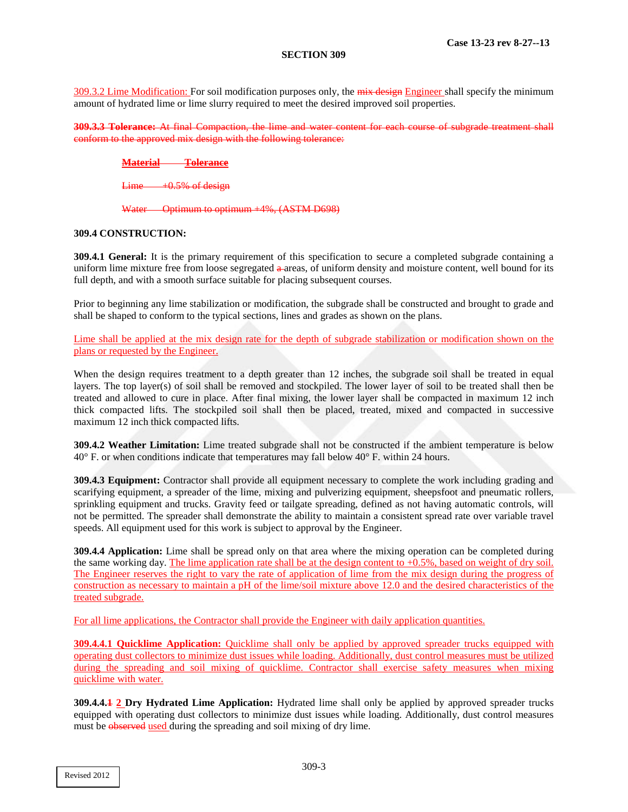309.3.2 Lime Modification: For soil modification purposes only, the mix design Engineer shall specify the minimum amount of hydrated lime or lime slurry required to meet the desired improved soil properties.

**309.3.3 Tolerance:** At final Compaction, the lime and water content for each course of subgrade treatment shall conform to the approved mix design with the following tolerance:

# **Material Tolerance**

 $Lime$   $+0.5%$  of design

#### Water Optimum to optimum +4%, (ASTM D698)

### **309.4 CONSTRUCTION:**

**309.4.1 General:** It is the primary requirement of this specification to secure a completed subgrade containing a uniform lime mixture free from loose segregated  $\theta$ -areas, of uniform density and moisture content, well bound for its full depth, and with a smooth surface suitable for placing subsequent courses.

Prior to beginning any lime stabilization or modification, the subgrade shall be constructed and brought to grade and shall be shaped to conform to the typical sections, lines and grades as shown on the plans.

Lime shall be applied at the mix design rate for the depth of subgrade stabilization or modification shown on the plans or requested by the Engineer.

When the design requires treatment to a depth greater than 12 inches, the subgrade soil shall be treated in equal layers. The top layer(s) of soil shall be removed and stockpiled. The lower layer of soil to be treated shall then be treated and allowed to cure in place. After final mixing, the lower layer shall be compacted in maximum 12 inch thick compacted lifts. The stockpiled soil shall then be placed, treated, mixed and compacted in successive maximum 12 inch thick compacted lifts.

**309.4.2 Weather Limitation:** Lime treated subgrade shall not be constructed if the ambient temperature is below 40° F. or when conditions indicate that temperatures may fall below 40° F. within 24 hours.

**309.4.3 Equipment:** Contractor shall provide all equipment necessary to complete the work including grading and scarifying equipment, a spreader of the lime, mixing and pulverizing equipment, sheepsfoot and pneumatic rollers, sprinkling equipment and trucks. Gravity feed or tailgate spreading, defined as not having automatic controls, will not be permitted. The spreader shall demonstrate the ability to maintain a consistent spread rate over variable travel speeds. All equipment used for this work is subject to approval by the Engineer.

**309.4.4 Application:** Lime shall be spread only on that area where the mixing operation can be completed during the same working day. The lime application rate shall be at the design content to  $+0.5%$ , based on weight of dry soil. The Engineer reserves the right to vary the rate of application of lime from the mix design during the progress of construction as necessary to maintain a pH of the lime/soil mixture above 12.0 and the desired characteristics of the treated subgrade.

For all lime applications, the Contractor shall provide the Engineer with daily application quantities.

**309.4.4.1 Quicklime Application:** Quicklime shall only be applied by approved spreader trucks equipped with operating dust collectors to minimize dust issues while loading. Additionally, dust control measures must be utilized during the spreading and soil mixing of quicklime. Contractor shall exercise safety measures when mixing quicklime with water.

**309.4.4.1 2 Dry Hydrated Lime Application:** Hydrated lime shall only be applied by approved spreader trucks equipped with operating dust collectors to minimize dust issues while loading. Additionally, dust control measures must be observed used during the spreading and soil mixing of dry lime.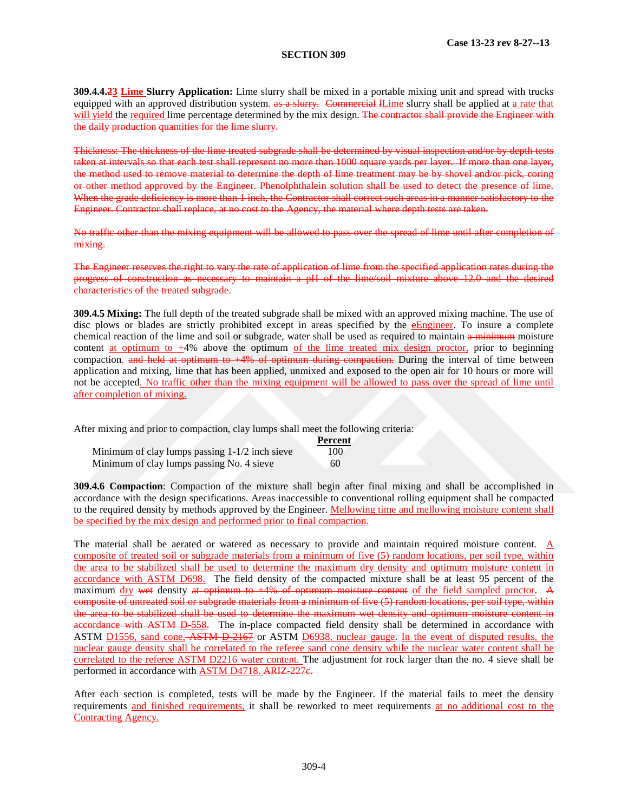**309.4.4.23 Lime Slurry Application:** Lime slurry shall be mixed in a portable mixing unit and spread with trucks equipped with an approved distribution system. as a slurry. Commercial ILime slurry shall be applied at a rate that will yield the required lime percentage determined by the mix design. The contractor shall provide the Engineer with the daily production quantities for the lime slurry.

Thickness: The thickness of the lime treated subgrade shall be determined by visual inspection and/or by depth tests taken at intervals so that each test shall represent no more than 1000 square vards per layer. If more than one layer, the method used to remove material to determine the depth of lime treatment may be by shovel and/or pick, coring or other method approved by the Engineer. Phenolphthalein solution shall be used to detect the presence of lime. When the grade deficiency is more than 1 inch, the Contractor shall correct such areas in a manner satisfactory to the Engineer. Contractor shall replace, at no cost to the Agency, the material where depth tests are taken.

No traffic other than the mixing equipment will be allowed to pass over the spread of lime until after completion of mixing.

The Engineer reserves the right to vary the rate of application of lime from the specified application rates during the progress of construction as necessary to maintain a pH of the lime/soil mixture above 12.0 and the desired characteristics of the treated subgrade.

**309.4.5 Mixing:** The full depth of the treated subgrade shall be mixed with an approved mixing machine. The use of disc plows or blades are strictly prohibited except in areas specified by the eEngineer. To insure a complete chemical reaction of the lime and soil or subgrade, water shall be used as required to maintain a minimum moisture content at optimum to  $+4%$  above the optimum of the lime treated mix design proctor, prior to beginning compaction. and held at optimum to  $+4\%$  of optimum during compaction. During the interval of time between application and mixing, lime that has been applied, unmixed and exposed to the open air for 10 hours or more will not be accepted. No traffic other than the mixing equipment will be allowed to pass over the spread of lime until after completion of mixing.

After mixing and prior to compaction, clay lumps shall meet the following criteria:

|                                                  | Percent |
|--------------------------------------------------|---------|
| Minimum of clay lumps passing $1-1/2$ inch sieve | 100     |
| Minimum of clay lumps passing No. 4 sieve        | 60      |

**309.4.6 Compaction**: Compaction of the mixture shall begin after final mixing and shall be accomplished in accordance with the design specifications. Areas inaccessible to conventional rolling equipment shall be compacted to the required density by methods approved by the Engineer. Mellowing time and mellowing moisture content shall be specified by the mix design and performed prior to final compaction.

The material shall be aerated or watered as necessary to provide and maintain required moisture content. A composite of treated soil or subgrade materials from a minimum of five (5) random locations, per soil type, within the area to be stabilized shall be used to determine the maximum dry density and optimum moisture content in accordance with ASTM D698. The field density of the compacted mixture shall be at least 95 percent of the maximum dry wet density at optimum to +4% of optimum moisture content of the field sampled proctor. A composite of untreated soil or subgrade materials from a minimum of five (5) random locations, per soil type, within the area to be stabilized shall be used to determine the maximum wet density and optimum moisture content in accordance with ASTM D-558. The in-place compacted field density shall be determined in accordance with ASTM D1556, sand cone, ASTM D-2167 or ASTM D6938, nuclear gauge. In the event of disputed results, the nuclear gauge density shall be correlated to the referee sand cone density while the nuclear water content shall be correlated to the referee ASTM D2216 water content. The adjustment for rock larger than the no. 4 sieve shall be performed in accordance with ASTM D4718. ARIZ-227e.

After each section is completed, tests will be made by the Engineer. If the material fails to meet the density requirements and finished requirements, it shall be reworked to meet requirements at no additional cost to the Contracting Agency.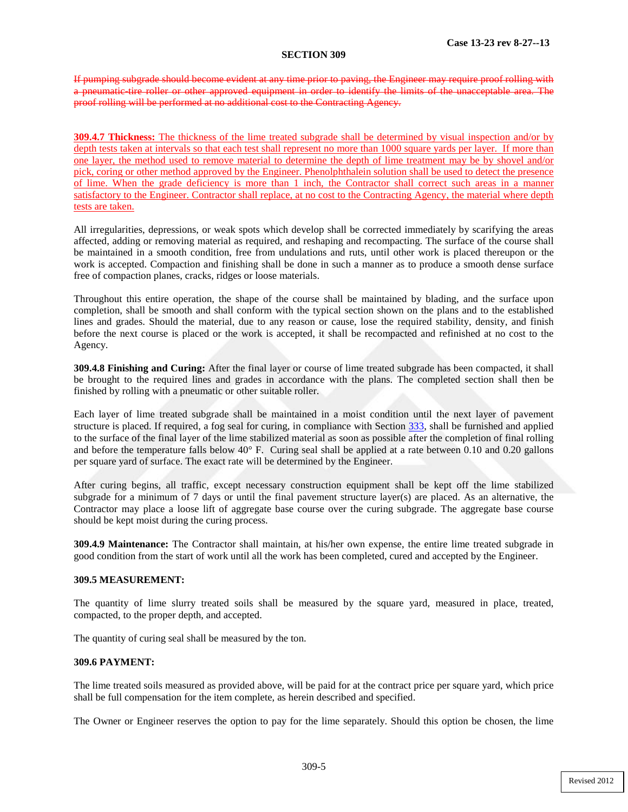If pumping subgrade should become evident at any time prior to paving, the Engineer may require proof rolling with a pneumatic-tire roller or other approved equipment in order to identify the limits of the unacceptable area. The proof rolling will be performed at no additional cost to the Contracting Agency.

**309.4.7 Thickness:** The thickness of the lime treated subgrade shall be determined by visual inspection and/or by depth tests taken at intervals so that each test shall represent no more than 1000 square vards per layer. If more than one layer, the method used to remove material to determine the depth of lime treatment may be by shovel and/or pick, coring or other method approved by the Engineer. Phenolphthalein solution shall be used to detect the presence of lime. When the grade deficiency is more than 1 inch, the Contractor shall correct such areas in a manner satisfactory to the Engineer. Contractor shall replace, at no cost to the Contracting Agency, the material where depth tests are taken.

All irregularities, depressions, or weak spots which develop shall be corrected immediately by scarifying the areas affected, adding or removing material as required, and reshaping and recompacting. The surface of the course shall be maintained in a smooth condition, free from undulations and ruts, until other work is placed thereupon or the work is accepted. Compaction and finishing shall be done in such a manner as to produce a smooth dense surface free of compaction planes, cracks, ridges or loose materials.

Throughout this entire operation, the shape of the course shall be maintained by blading, and the surface upon completion, shall be smooth and shall conform with the typical section shown on the plans and to the established lines and grades. Should the material, due to any reason or cause, lose the required stability, density, and finish before the next course is placed or the work is accepted, it shall be recompacted and refinished at no cost to the Agency.

**309.4.8 Finishing and Curing:** After the final layer or course of lime treated subgrade has been compacted, it shall be brought to the required lines and grades in accordance with the plans. The completed section shall then be finished by rolling with a pneumatic or other suitable roller.

Each layer of lime treated subgrade shall be maintained in a moist condition until the next layer of pavement structure is placed. If required, a fog seal for curing, in compliance with Section 333, shall be furnished and applied to the surface of the final layer of the lime stabilized material as soon as possible after the completion of final rolling and before the temperature falls below  $40^{\circ}$  F. Curing seal shall be applied at a rate between 0.10 and 0.20 gallons per square yard of surface. The exact rate will be determined by the Engineer.

After curing begins, all traffic, except necessary construction equipment shall be kept off the lime stabilized subgrade for a minimum of 7 days or until the final pavement structure layer(s) are placed. As an alternative, the Contractor may place a loose lift of aggregate base course over the curing subgrade. The aggregate base course should be kept moist during the curing process.

**309.4.9 Maintenance:** The Contractor shall maintain, at his/her own expense, the entire lime treated subgrade in good condition from the start of work until all the work has been completed, cured and accepted by the Engineer.

### **309.5 MEASUREMENT:**

The quantity of lime slurry treated soils shall be measured by the square yard, measured in place, treated, compacted, to the proper depth, and accepted.

The quantity of curing seal shall be measured by the ton.

# **309.6 PAYMENT:**

The lime treated soils measured as provided above, will be paid for at the contract price per square yard, which price shall be full compensation for the item complete, as herein described and specified.

The Owner or Engineer reserves the option to pay for the lime separately. Should this option be chosen, the lime